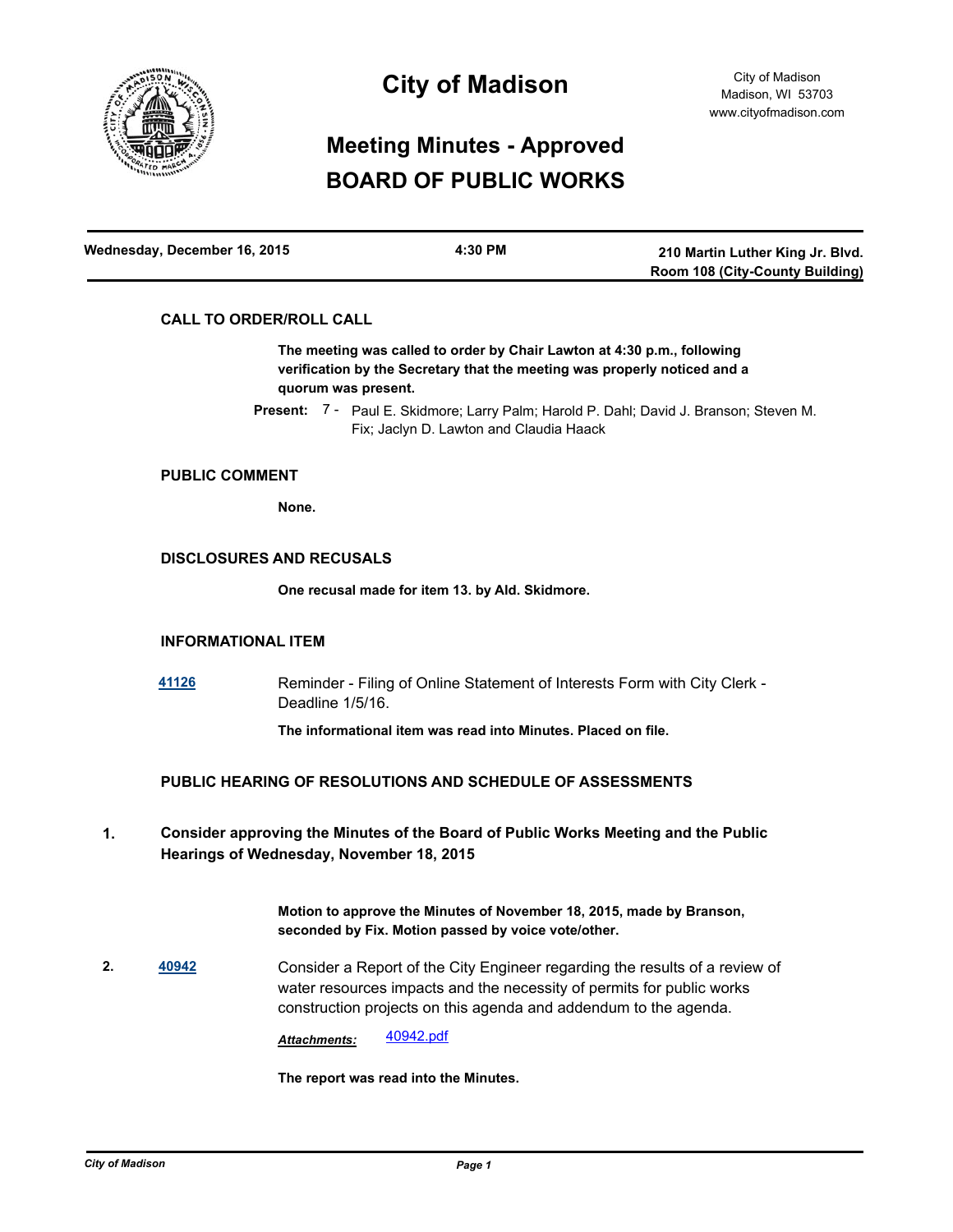

# **City of Madison**

# **Meeting Minutes - Approved BOARD OF PUBLIC WORKS**

| Wednesday, December 16, 2015 | 4:30 PM | 210 Martin Luther King Jr. Blvd. |
|------------------------------|---------|----------------------------------|
|                              |         | Room 108 (City-County Building)  |

# **CALL TO ORDER/ROLL CALL**

**The meeting was called to order by Chair Lawton at 4:30 p.m., following verification by the Secretary that the meeting was properly noticed and a quorum was present.**

Present: 7 - Paul E. Skidmore; Larry Palm; Harold P. Dahl; David J. Branson; Steven M. Fix; Jaclyn D. Lawton and Claudia Haack

# **PUBLIC COMMENT**

**None.**

## **DISCLOSURES AND RECUSALS**

**One recusal made for item 13. by Ald. Skidmore.**

# **INFORMATIONAL ITEM**

**[41126](http://madison.legistar.com/gateway.aspx?m=l&id=/matter.aspx?key=44564)** Reminder - Filing of Online Statement of Interests Form with City Clerk - Deadline 1/5/16.

**The informational item was read into Minutes. Placed on file.**

# **PUBLIC HEARING OF RESOLUTIONS AND SCHEDULE OF ASSESSMENTS**

**Consider approving the Minutes of the Board of Public Works Meeting and the Public Hearings of Wednesday, November 18, 2015 1.**

> **Motion to approve the Minutes of November 18, 2015, made by Branson, seconded by Fix. Motion passed by voice vote/other.**

**2. [40942](http://madison.legistar.com/gateway.aspx?m=l&id=/matter.aspx?key=44399)** Consider a Report of the City Engineer regarding the results of a review of water resources impacts and the necessity of permits for public works construction projects on this agenda and addendum to the agenda.

*Attachments:* [40942.pdf](http://madison.legistar.com/gateway.aspx?M=F&ID=f53346f1-efc8-453e-b612-b45629daabff.pdf)

**The report was read into the Minutes.**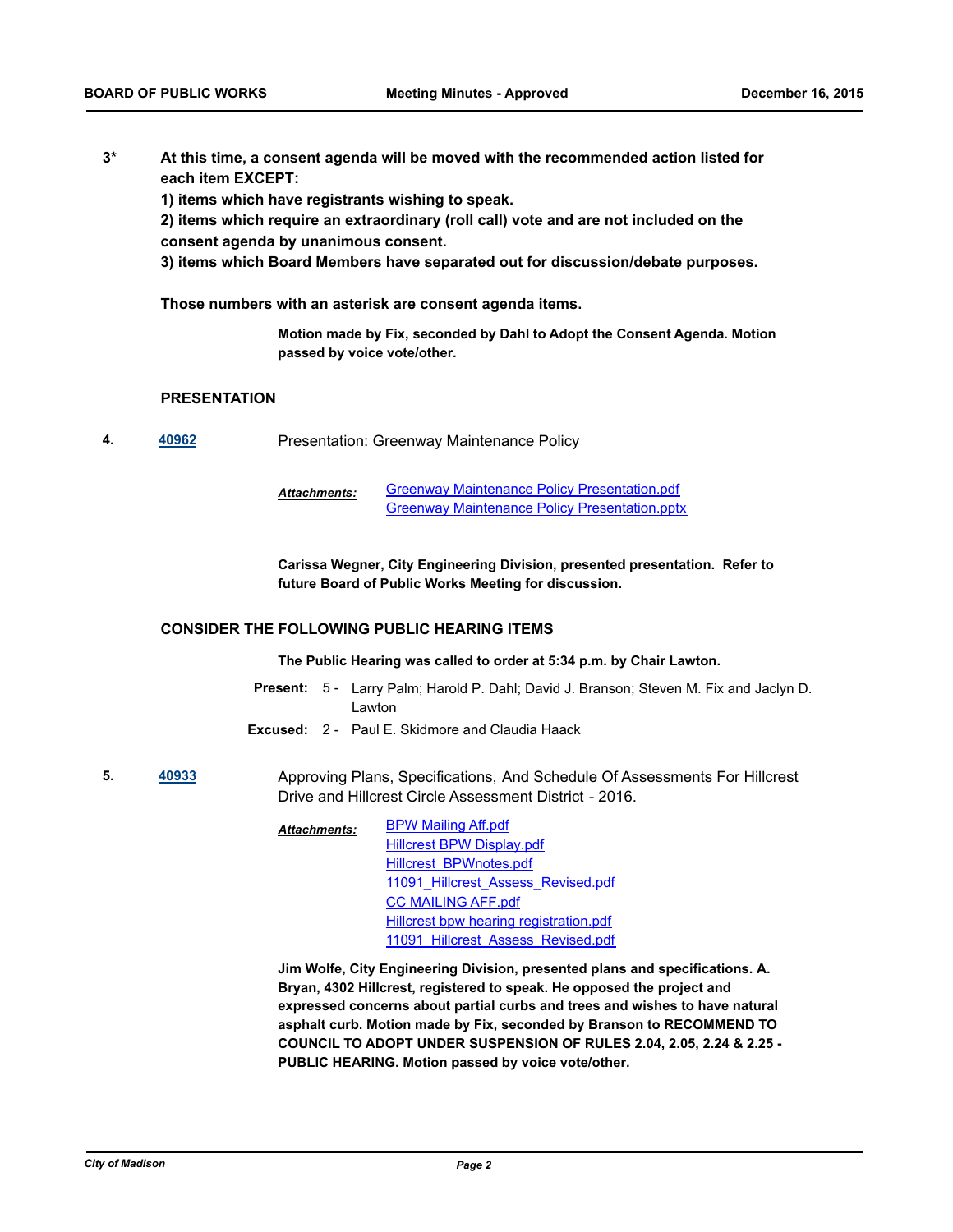**At this time, a consent agenda will be moved with the recommended action listed for each item EXCEPT: 3\***

**1) items which have registrants wishing to speak.**

**2) items which require an extraordinary (roll call) vote and are not included on the consent agenda by unanimous consent.**

**3) items which Board Members have separated out for discussion/debate purposes.** 

**Those numbers with an asterisk are consent agenda items.**

**Motion made by Fix, seconded by Dahl to Adopt the Consent Agenda. Motion passed by voice vote/other.**

## **PRESENTATION**

**4. [40962](http://madison.legistar.com/gateway.aspx?m=l&id=/matter.aspx?key=44416)** Presentation: Greenway Maintenance Policy

[Greenway Maintenance Policy Presentation.pdf](http://madison.legistar.com/gateway.aspx?M=F&ID=5cd24f4a-18bb-40fd-95c1-fa5fe53279b3.pdf) [Greenway Maintenance Policy Presentation.pptx](http://madison.legistar.com/gateway.aspx?M=F&ID=ce2b492b-aa66-43cd-931d-b0740c0cabde.pptx) *Attachments:*

**Carissa Wegner, City Engineering Division, presented presentation. Refer to future Board of Public Works Meeting for discussion.**

## **CONSIDER THE FOLLOWING PUBLIC HEARING ITEMS**

**The Public Hearing was called to order at 5:34 p.m. by Chair Lawton.**

- Present: 5 Larry Palm; Harold P. Dahl; David J. Branson; Steven M. Fix and Jaclyn D. Lawton
- **Excused:** 2 Paul E. Skidmore and Claudia Haack
- **5. [40933](http://madison.legistar.com/gateway.aspx?m=l&id=/matter.aspx?key=44390)** Approving Plans, Specifications, And Schedule Of Assessments For Hillcrest Drive and Hillcrest Circle Assessment District - 2016.
	- [BPW Mailing Aff.pdf](http://madison.legistar.com/gateway.aspx?M=F&ID=eb5c61dc-bcc8-40f1-8fdc-32843cee92fb.pdf) [Hillcrest BPW Display.pdf](http://madison.legistar.com/gateway.aspx?M=F&ID=e64016b8-b178-449a-a97d-e4a0eb4c90f3.pdf) [Hillcrest\\_BPWnotes.pdf](http://madison.legistar.com/gateway.aspx?M=F&ID=03bc8f57-c39b-40ec-8a9e-d3731ea46f9e.pdf) 11091 Hillcrest Assess Revised.pdf [CC MAILING AFF.pdf](http://madison.legistar.com/gateway.aspx?M=F&ID=668bbbe6-300e-4be3-8919-7dba95e73c5e.pdf) [Hillcrest bpw hearing registration.pdf](http://madison.legistar.com/gateway.aspx?M=F&ID=522553c6-04b1-4ff0-a061-a2e4a435e1c0.pdf) 11091 Hillcrest Assess Revised.pdf *Attachments:*

**Jim Wolfe, City Engineering Division, presented plans and specifications. A. Bryan, 4302 Hillcrest, registered to speak. He opposed the project and expressed concerns about partial curbs and trees and wishes to have natural asphalt curb. Motion made by Fix, seconded by Branson to RECOMMEND TO COUNCIL TO ADOPT UNDER SUSPENSION OF RULES 2.04, 2.05, 2.24 & 2.25 - PUBLIC HEARING. Motion passed by voice vote/other.**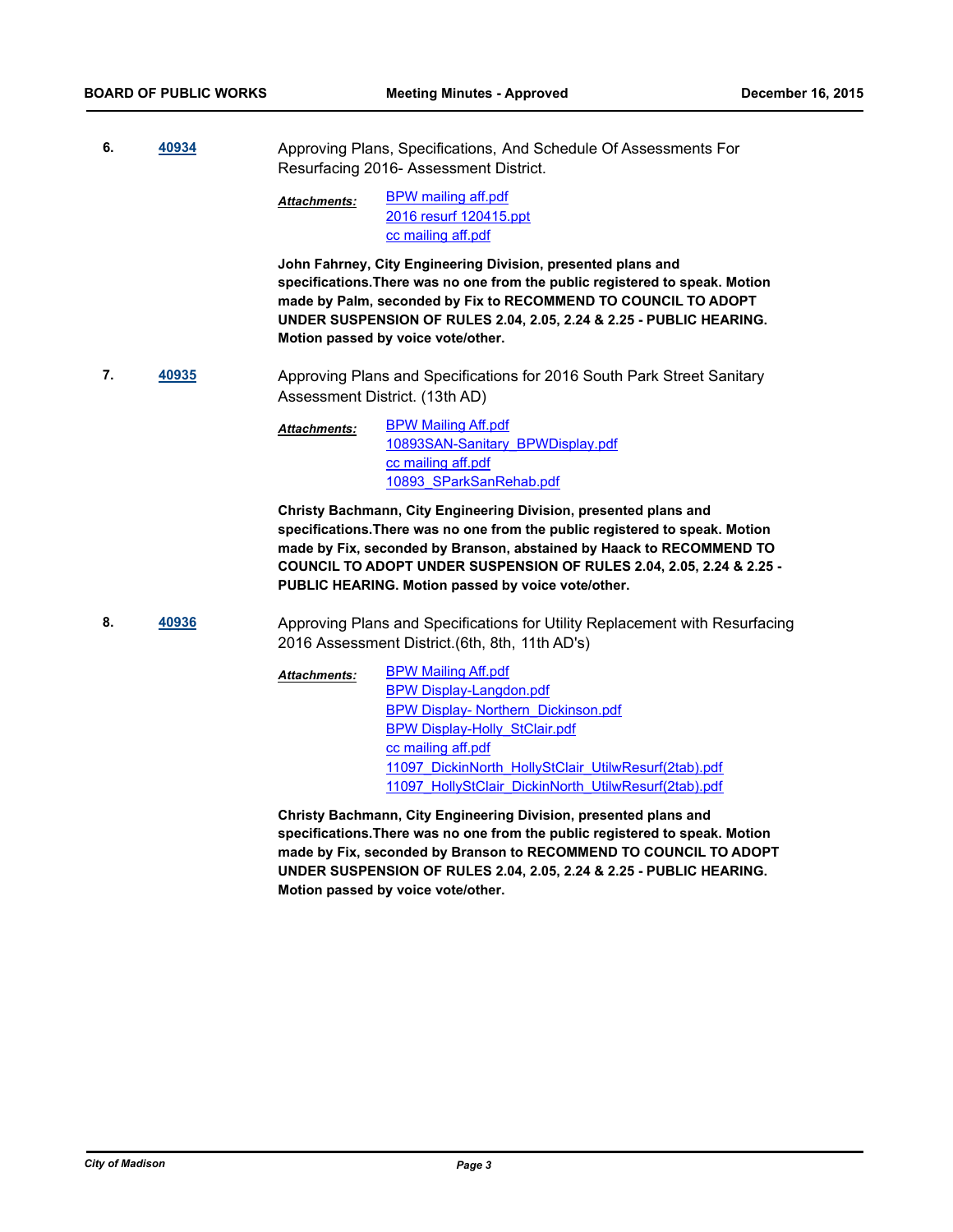**6. [40934](http://madison.legistar.com/gateway.aspx?m=l&id=/matter.aspx?key=44391)** Approving Plans, Specifications, And Schedule Of Assessments For Resurfacing 2016- Assessment District.

> [BPW mailing aff.pdf](http://madison.legistar.com/gateway.aspx?M=F&ID=d7cc1c5c-8405-4408-9113-c29eb45d7832.pdf) [2016 resurf 120415.ppt](http://madison.legistar.com/gateway.aspx?M=F&ID=573ade3e-53d1-49ba-8bba-1d96c8dbb900.ppt) [cc mailing aff.pdf](http://madison.legistar.com/gateway.aspx?M=F&ID=558353f9-aa3b-47e4-a125-65e0932e114b.pdf) *Attachments:*

**John Fahrney, City Engineering Division, presented plans and specifications.There was no one from the public registered to speak. Motion made by Palm, seconded by Fix to RECOMMEND TO COUNCIL TO ADOPT UNDER SUSPENSION OF RULES 2.04, 2.05, 2.24 & 2.25 - PUBLIC HEARING. Motion passed by voice vote/other.**

**7. [40935](http://madison.legistar.com/gateway.aspx?m=l&id=/matter.aspx?key=44392)** Approving Plans and Specifications for 2016 South Park Street Sanitary Assessment District. (13th AD)

> [BPW Mailing Aff.pdf](http://madison.legistar.com/gateway.aspx?M=F&ID=420910b2-e8f8-4502-8fdd-288e8110d732.pdf) [10893SAN-Sanitary\\_BPWDisplay.pdf](http://madison.legistar.com/gateway.aspx?M=F&ID=e7dc4200-1f29-4306-9cf6-a377441d4254.pdf) [cc mailing aff.pdf](http://madison.legistar.com/gateway.aspx?M=F&ID=3c13abfa-bc48-4568-8b35-371e5eaac0d5.pdf) [10893\\_SParkSanRehab.pdf](http://madison.legistar.com/gateway.aspx?M=F&ID=c971cb1d-b03e-47ae-8deb-0221e5a4353f.pdf) *Attachments:*

**Christy Bachmann, City Engineering Division, presented plans and specifications.There was no one from the public registered to speak. Motion made by Fix, seconded by Branson, abstained by Haack to RECOMMEND TO COUNCIL TO ADOPT UNDER SUSPENSION OF RULES 2.04, 2.05, 2.24 & 2.25 - PUBLIC HEARING. Motion passed by voice vote/other.**

8. **[40936](http://madison.legistar.com/gateway.aspx?m=l&id=/matter.aspx?key=44393)** Approving Plans and Specifications for Utility Replacement with Resurfacing 2016 Assessment District.(6th, 8th, 11th AD's)

> [BPW Mailing Aff.pdf](http://madison.legistar.com/gateway.aspx?M=F&ID=5dbe5d13-ca0e-45ef-8926-87c72771a9fd.pdf) [BPW Display-Langdon.pdf](http://madison.legistar.com/gateway.aspx?M=F&ID=a7451f48-7630-4c80-86e0-76d4e74165d4.pdf) [BPW Display- Northern\\_Dickinson.pdf](http://madison.legistar.com/gateway.aspx?M=F&ID=fc8b1190-ea4e-4330-b39d-c130c78af1c4.pdf) [BPW Display-Holly\\_StClair.pdf](http://madison.legistar.com/gateway.aspx?M=F&ID=93cbb5c8-defd-434b-aa84-29c9d81e5cb0.pdf) [cc mailing aff.pdf](http://madison.legistar.com/gateway.aspx?M=F&ID=dc161a34-3100-4944-9d8e-f13d9f7b3742.pdf) [11097\\_DickinNorth\\_HollyStClair\\_UtilwResurf\(2tab\).pdf](http://madison.legistar.com/gateway.aspx?M=F&ID=25a2a641-d985-427d-a480-fa1f1ddd38d3.pdf) [11097\\_HollyStClair\\_DickinNorth\\_UtilwResurf\(2tab\).pdf](http://madison.legistar.com/gateway.aspx?M=F&ID=029ec601-242c-4f6b-868e-657b95da8619.pdf) *Attachments:*

**Christy Bachmann, City Engineering Division, presented plans and specifications.There was no one from the public registered to speak. Motion made by Fix, seconded by Branson to RECOMMEND TO COUNCIL TO ADOPT UNDER SUSPENSION OF RULES 2.04, 2.05, 2.24 & 2.25 - PUBLIC HEARING. Motion passed by voice vote/other.**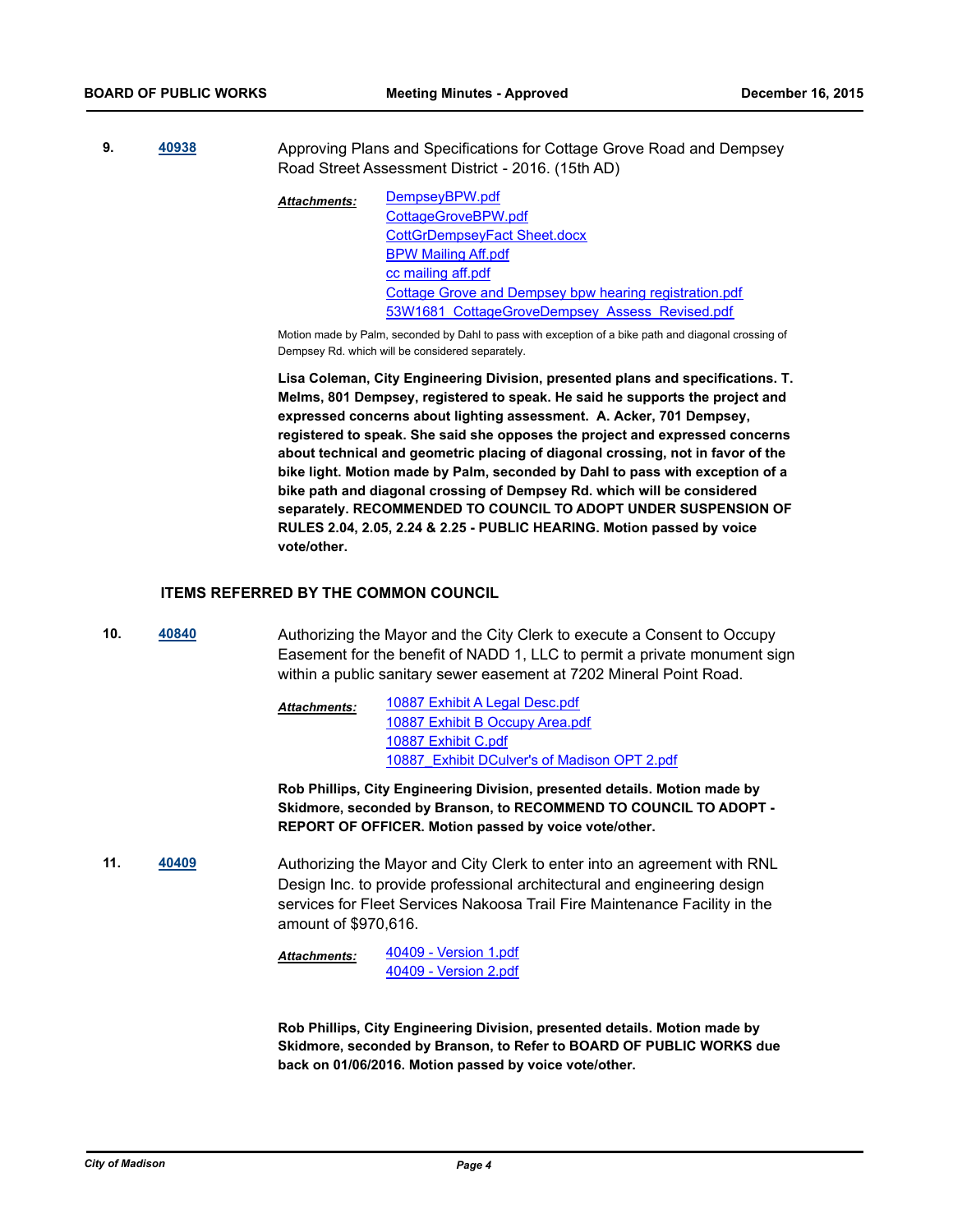**9. [40938](http://madison.legistar.com/gateway.aspx?m=l&id=/matter.aspx?key=44395)** Approving Plans and Specifications for Cottage Grove Road and Dempsey Road Street Assessment District - 2016. (15th AD)

> [DempseyBPW.pdf](http://madison.legistar.com/gateway.aspx?M=F&ID=16aa0e15-3a02-4a85-b0b4-d4232813988d.pdf) [CottageGroveBPW.pdf](http://madison.legistar.com/gateway.aspx?M=F&ID=4fff5553-6dba-494b-8954-6dc160eb5c5a.pdf) [CottGrDempseyFact Sheet.docx](http://madison.legistar.com/gateway.aspx?M=F&ID=a6b4ce09-8247-4556-97dd-b059b0e7405b.docx) [BPW Mailing Aff.pdf](http://madison.legistar.com/gateway.aspx?M=F&ID=670a9687-ceb7-4091-9a68-55372f25046c.pdf) [cc mailing aff.pdf](http://madison.legistar.com/gateway.aspx?M=F&ID=be91e58b-e250-4377-9e81-57f71a1f9fb9.pdf) [Cottage Grove and Dempsey bpw hearing registration.pdf](http://madison.legistar.com/gateway.aspx?M=F&ID=67262a38-3431-488a-a3b4-0baa85ece6c7.pdf) 53W1681 CottageGroveDempsey Assess Revised.pdf *Attachments:*

Motion made by Palm, seconded by Dahl to pass with exception of a bike path and diagonal crossing of Dempsey Rd. which will be considered separately.

**Lisa Coleman, City Engineering Division, presented plans and specifications. T. Melms, 801 Dempsey, registered to speak. He said he supports the project and expressed concerns about lighting assessment. A. Acker, 701 Dempsey, registered to speak. She said she opposes the project and expressed concerns about technical and geometric placing of diagonal crossing, not in favor of the bike light. Motion made by Palm, seconded by Dahl to pass with exception of a bike path and diagonal crossing of Dempsey Rd. which will be considered separately. RECOMMENDED TO COUNCIL TO ADOPT UNDER SUSPENSION OF RULES 2.04, 2.05, 2.24 & 2.25 - PUBLIC HEARING. Motion passed by voice vote/other.**

### **ITEMS REFERRED BY THE COMMON COUNCIL**

**10. [40840](http://madison.legistar.com/gateway.aspx?m=l&id=/matter.aspx?key=44303)** Authorizing the Mayor and the City Clerk to execute a Consent to Occupy Easement for the benefit of NADD 1, LLC to permit a private monument sign within a public sanitary sewer easement at 7202 Mineral Point Road.

> [10887 Exhibit A Legal Desc.pdf](http://madison.legistar.com/gateway.aspx?M=F&ID=ea9d10dd-5021-4617-bf12-90371d2e81f8.pdf) [10887 Exhibit B Occupy Area.pdf](http://madison.legistar.com/gateway.aspx?M=F&ID=eaa90682-ab48-4334-9212-3f2b405d1b62.pdf) [10887 Exhibit C.pdf](http://madison.legistar.com/gateway.aspx?M=F&ID=afaaa815-7133-4d8b-95ac-e1d337f123ad.pdf) [10887\\_Exhibit DCulver's of Madison OPT 2.pdf](http://madison.legistar.com/gateway.aspx?M=F&ID=0262526c-3b63-4598-815b-c4649ad0ad6f.pdf) *Attachments:*

**Rob Phillips, City Engineering Division, presented details. Motion made by Skidmore, seconded by Branson, to RECOMMEND TO COUNCIL TO ADOPT - REPORT OF OFFICER. Motion passed by voice vote/other.**

**11. [40409](http://madison.legistar.com/gateway.aspx?m=l&id=/matter.aspx?key=43908)** Authorizing the Mayor and City Clerk to enter into an agreement with RNL Design Inc. to provide professional architectural and engineering design services for Fleet Services Nakoosa Trail Fire Maintenance Facility in the amount of \$970,616.

> [40409 - Version 1.pdf](http://madison.legistar.com/gateway.aspx?M=F&ID=0f461ab6-c7a0-40fa-8847-d9cb9168a04b.pdf) [40409 - Version 2.pdf](http://madison.legistar.com/gateway.aspx?M=F&ID=80696515-de32-4c63-bc6c-dce4a944df40.pdf) *Attachments:*

**Rob Phillips, City Engineering Division, presented details. Motion made by Skidmore, seconded by Branson, to Refer to BOARD OF PUBLIC WORKS due back on 01/06/2016. Motion passed by voice vote/other.**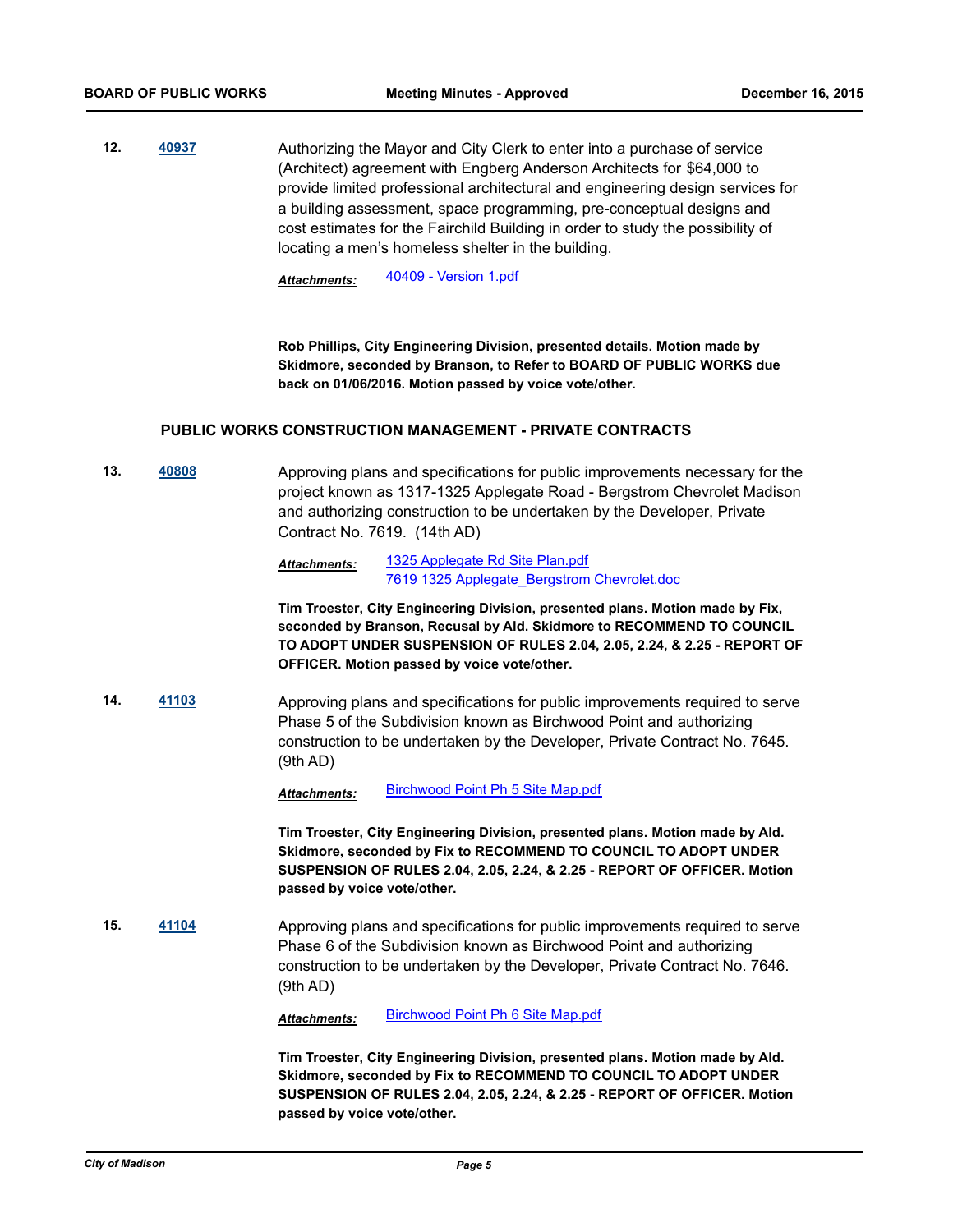**12. [40937](http://madison.legistar.com/gateway.aspx?m=l&id=/matter.aspx?key=44394)** Authorizing the Mayor and City Clerk to enter into a purchase of service (Architect) agreement with Engberg Anderson Architects for \$64,000 to provide limited professional architectural and engineering design services for a building assessment, space programming, pre-conceptual designs and cost estimates for the Fairchild Building in order to study the possibility of locating a men's homeless shelter in the building.

*Attachments:* [40409 - Version 1.pdf](http://madison.legistar.com/gateway.aspx?M=F&ID=65390c51-fb7d-4587-9f69-07876537d795.pdf)

**Rob Phillips, City Engineering Division, presented details. Motion made by Skidmore, seconded by Branson, to Refer to BOARD OF PUBLIC WORKS due back on 01/06/2016. Motion passed by voice vote/other.**

## **PUBLIC WORKS CONSTRUCTION MANAGEMENT - PRIVATE CONTRACTS**

**13. [40808](http://madison.legistar.com/gateway.aspx?m=l&id=/matter.aspx?key=44274)** Approving plans and specifications for public improvements necessary for the project known as 1317-1325 Applegate Road - Bergstrom Chevrolet Madison and authorizing construction to be undertaken by the Developer, Private Contract No. 7619. (14th AD)

> [1325 Applegate Rd Site Plan.pdf](http://madison.legistar.com/gateway.aspx?M=F&ID=23c478ef-70de-4ead-9291-6292f478973e.pdf) [7619 1325 Applegate\\_Bergstrom Chevrolet.doc](http://madison.legistar.com/gateway.aspx?M=F&ID=1521093b-90c9-4426-a6ce-844b1af54325.doc) *Attachments:*

**Tim Troester, City Engineering Division, presented plans. Motion made by Fix, seconded by Branson, Recusal by Ald. Skidmore to RECOMMEND TO COUNCIL TO ADOPT UNDER SUSPENSION OF RULES 2.04, 2.05, 2.24, & 2.25 - REPORT OF OFFICER. Motion passed by voice vote/other.**

**14. [41103](http://madison.legistar.com/gateway.aspx?m=l&id=/matter.aspx?key=44541)** Approving plans and specifications for public improvements required to serve Phase 5 of the Subdivision known as Birchwood Point and authorizing construction to be undertaken by the Developer, Private Contract No. 7645. (9th AD)

*Attachments:* [Birchwood Point Ph 5 Site Map.pdf](http://madison.legistar.com/gateway.aspx?M=F&ID=29389176-e8c4-412c-9c7b-157ed5f99f01.pdf)

**Tim Troester, City Engineering Division, presented plans. Motion made by Ald. Skidmore, seconded by Fix to RECOMMEND TO COUNCIL TO ADOPT UNDER SUSPENSION OF RULES 2.04, 2.05, 2.24, & 2.25 - REPORT OF OFFICER. Motion passed by voice vote/other.**

**15. [41104](http://madison.legistar.com/gateway.aspx?m=l&id=/matter.aspx?key=44542)** Approving plans and specifications for public improvements required to serve Phase 6 of the Subdivision known as Birchwood Point and authorizing construction to be undertaken by the Developer, Private Contract No. 7646. (9th AD)

*Attachments:* [Birchwood Point Ph 6 Site Map.pdf](http://madison.legistar.com/gateway.aspx?M=F&ID=985d2873-70bc-4c9b-9c53-5838616dd6f1.pdf)

**Tim Troester, City Engineering Division, presented plans. Motion made by Ald. Skidmore, seconded by Fix to RECOMMEND TO COUNCIL TO ADOPT UNDER SUSPENSION OF RULES 2.04, 2.05, 2.24, & 2.25 - REPORT OF OFFICER. Motion passed by voice vote/other.**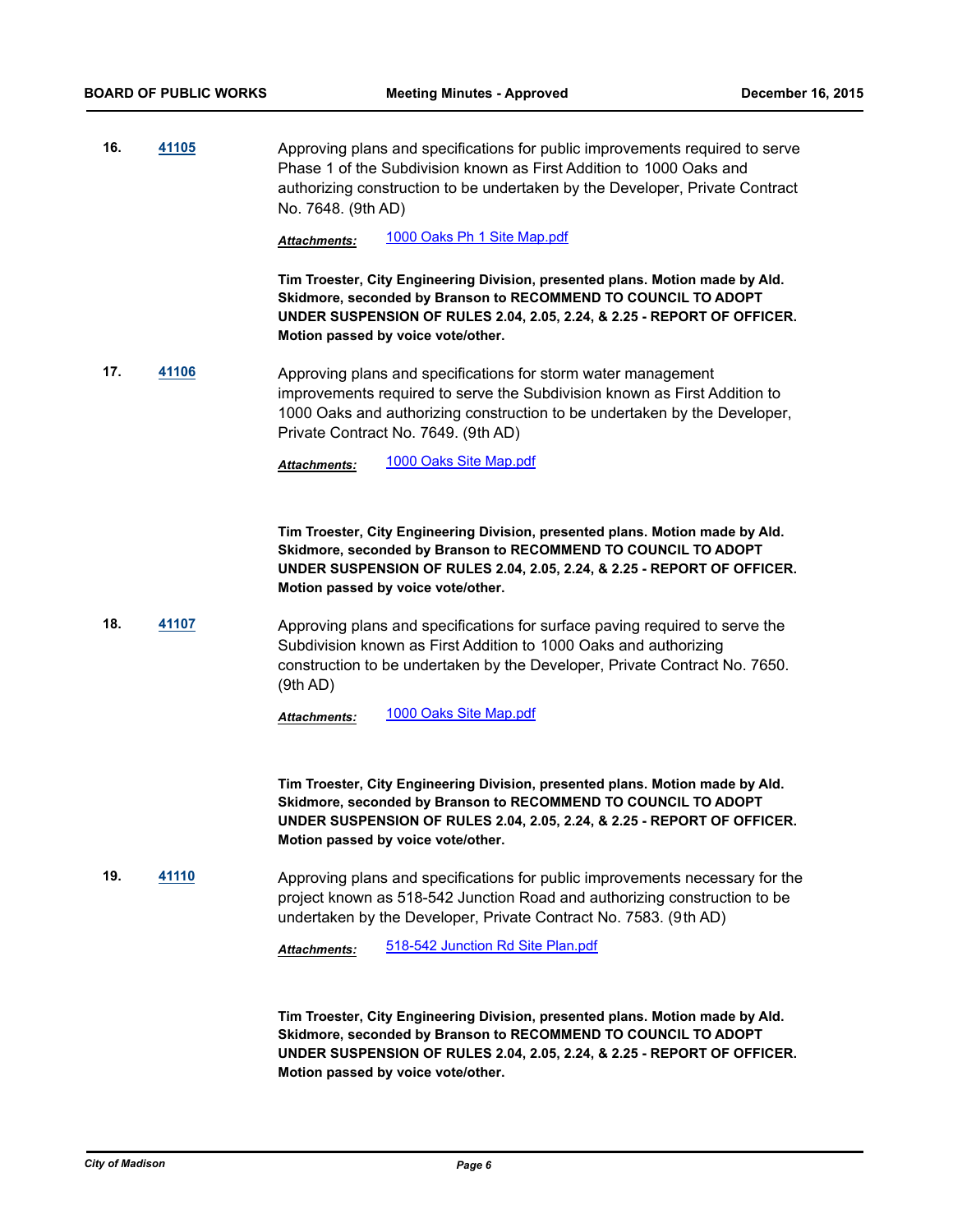**16. [41105](http://madison.legistar.com/gateway.aspx?m=l&id=/matter.aspx?key=44543)** Approving plans and specifications for public improvements required to serve Phase 1 of the Subdivision known as First Addition to 1000 Oaks and authorizing construction to be undertaken by the Developer, Private Contract No. 7648. (9th AD)

*Attachments:* [1000 Oaks Ph 1 Site Map.pdf](http://madison.legistar.com/gateway.aspx?M=F&ID=b03038f2-42ad-4a87-bc04-f66744a0652e.pdf)

**Tim Troester, City Engineering Division, presented plans. Motion made by Ald. Skidmore, seconded by Branson to RECOMMEND TO COUNCIL TO ADOPT UNDER SUSPENSION OF RULES 2.04, 2.05, 2.24, & 2.25 - REPORT OF OFFICER. Motion passed by voice vote/other.**

**17. [41106](http://madison.legistar.com/gateway.aspx?m=l&id=/matter.aspx?key=44544)** Approving plans and specifications for storm water management improvements required to serve the Subdivision known as First Addition to 1000 Oaks and authorizing construction to be undertaken by the Developer, Private Contract No. 7649. (9th AD)

*Attachments:* [1000 Oaks Site Map.pdf](http://madison.legistar.com/gateway.aspx?M=F&ID=797aebb8-3f0b-4722-a63e-e8b584543d85.pdf)

**Tim Troester, City Engineering Division, presented plans. Motion made by Ald. Skidmore, seconded by Branson to RECOMMEND TO COUNCIL TO ADOPT UNDER SUSPENSION OF RULES 2.04, 2.05, 2.24, & 2.25 - REPORT OF OFFICER. Motion passed by voice vote/other.**

**18. [41107](http://madison.legistar.com/gateway.aspx?m=l&id=/matter.aspx?key=44545)** Approving plans and specifications for surface paving required to serve the Subdivision known as First Addition to 1000 Oaks and authorizing construction to be undertaken by the Developer, Private Contract No. 7650. (9th AD)

*Attachments:* [1000 Oaks Site Map.pdf](http://madison.legistar.com/gateway.aspx?M=F&ID=da16e441-9f5b-4b9f-a3c3-8513f41ea7b5.pdf)

**Tim Troester, City Engineering Division, presented plans. Motion made by Ald. Skidmore, seconded by Branson to RECOMMEND TO COUNCIL TO ADOPT UNDER SUSPENSION OF RULES 2.04, 2.05, 2.24, & 2.25 - REPORT OF OFFICER. Motion passed by voice vote/other.**

**19. [41110](http://madison.legistar.com/gateway.aspx?m=l&id=/matter.aspx?key=44548)** Approving plans and specifications for public improvements necessary for the project known as 518-542 Junction Road and authorizing construction to be undertaken by the Developer, Private Contract No. 7583. (9th AD)

*Attachments:* [518-542 Junction Rd Site Plan.pdf](http://madison.legistar.com/gateway.aspx?M=F&ID=249b2790-eb2a-436e-a14a-eb43900ba0b0.pdf)

**Tim Troester, City Engineering Division, presented plans. Motion made by Ald. Skidmore, seconded by Branson to RECOMMEND TO COUNCIL TO ADOPT UNDER SUSPENSION OF RULES 2.04, 2.05, 2.24, & 2.25 - REPORT OF OFFICER. Motion passed by voice vote/other.**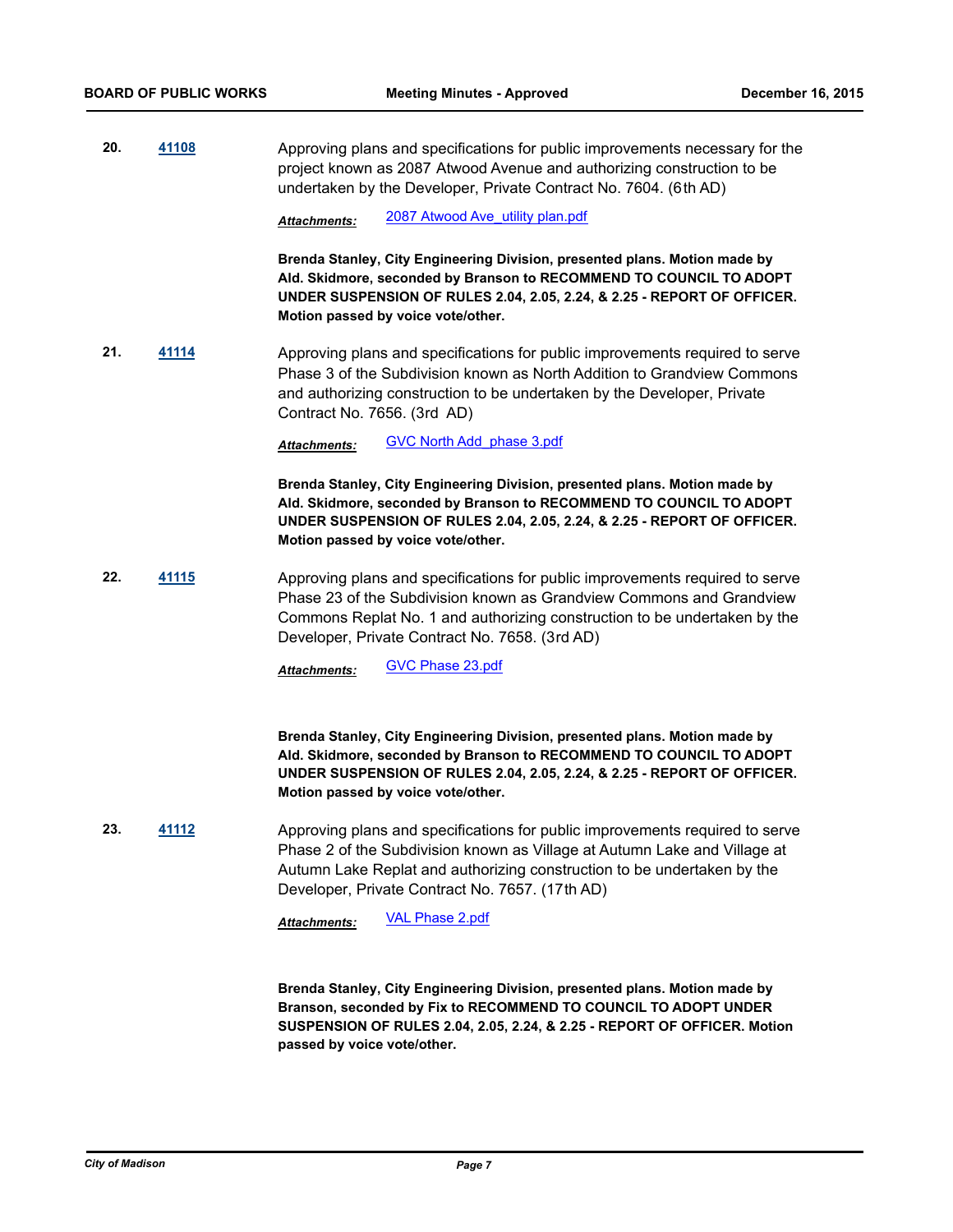**20. [41108](http://madison.legistar.com/gateway.aspx?m=l&id=/matter.aspx?key=44546)** Approving plans and specifications for public improvements necessary for the project known as 2087 Atwood Avenue and authorizing construction to be undertaken by the Developer, Private Contract No. 7604. (6th AD)

*Attachments:* [2087 Atwood Ave\\_utility plan.pdf](http://madison.legistar.com/gateway.aspx?M=F&ID=157ae64c-7ccc-4280-8364-0a632844b81e.pdf)

**Brenda Stanley, City Engineering Division, presented plans. Motion made by Ald. Skidmore, seconded by Branson to RECOMMEND TO COUNCIL TO ADOPT UNDER SUSPENSION OF RULES 2.04, 2.05, 2.24, & 2.25 - REPORT OF OFFICER. Motion passed by voice vote/other.**

**21. [41114](http://madison.legistar.com/gateway.aspx?m=l&id=/matter.aspx?key=44552)** Approving plans and specifications for public improvements required to serve Phase 3 of the Subdivision known as North Addition to Grandview Commons and authorizing construction to be undertaken by the Developer, Private Contract No. 7656. (3rd AD)

*Attachments:* [GVC North Add\\_phase 3.pdf](http://madison.legistar.com/gateway.aspx?M=F&ID=46e450c5-6422-488c-87a4-f871c7c5c1d5.pdf)

**Brenda Stanley, City Engineering Division, presented plans. Motion made by Ald. Skidmore, seconded by Branson to RECOMMEND TO COUNCIL TO ADOPT UNDER SUSPENSION OF RULES 2.04, 2.05, 2.24, & 2.25 - REPORT OF OFFICER. Motion passed by voice vote/other.**

**22. [41115](http://madison.legistar.com/gateway.aspx?m=l&id=/matter.aspx?key=44553)** Approving plans and specifications for public improvements required to serve Phase 23 of the Subdivision known as Grandview Commons and Grandview Commons Replat No. 1 and authorizing construction to be undertaken by the Developer, Private Contract No. 7658. (3rd AD)

*Attachments:* [GVC Phase 23.pdf](http://madison.legistar.com/gateway.aspx?M=F&ID=2c9aa75a-9d50-485b-b567-0c42081b33ad.pdf)

**Brenda Stanley, City Engineering Division, presented plans. Motion made by Ald. Skidmore, seconded by Branson to RECOMMEND TO COUNCIL TO ADOPT UNDER SUSPENSION OF RULES 2.04, 2.05, 2.24, & 2.25 - REPORT OF OFFICER. Motion passed by voice vote/other.**

**23. [41112](http://madison.legistar.com/gateway.aspx?m=l&id=/matter.aspx?key=44550)** Approving plans and specifications for public improvements required to serve Phase 2 of the Subdivision known as Village at Autumn Lake and Village at Autumn Lake Replat and authorizing construction to be undertaken by the Developer, Private Contract No. 7657. (17th AD)

*Attachments:* [VAL Phase 2.pdf](http://madison.legistar.com/gateway.aspx?M=F&ID=47e49c32-f6e7-492a-90a8-cf561d637dd4.pdf)

**Brenda Stanley, City Engineering Division, presented plans. Motion made by Branson, seconded by Fix to RECOMMEND TO COUNCIL TO ADOPT UNDER SUSPENSION OF RULES 2.04, 2.05, 2.24, & 2.25 - REPORT OF OFFICER. Motion passed by voice vote/other.**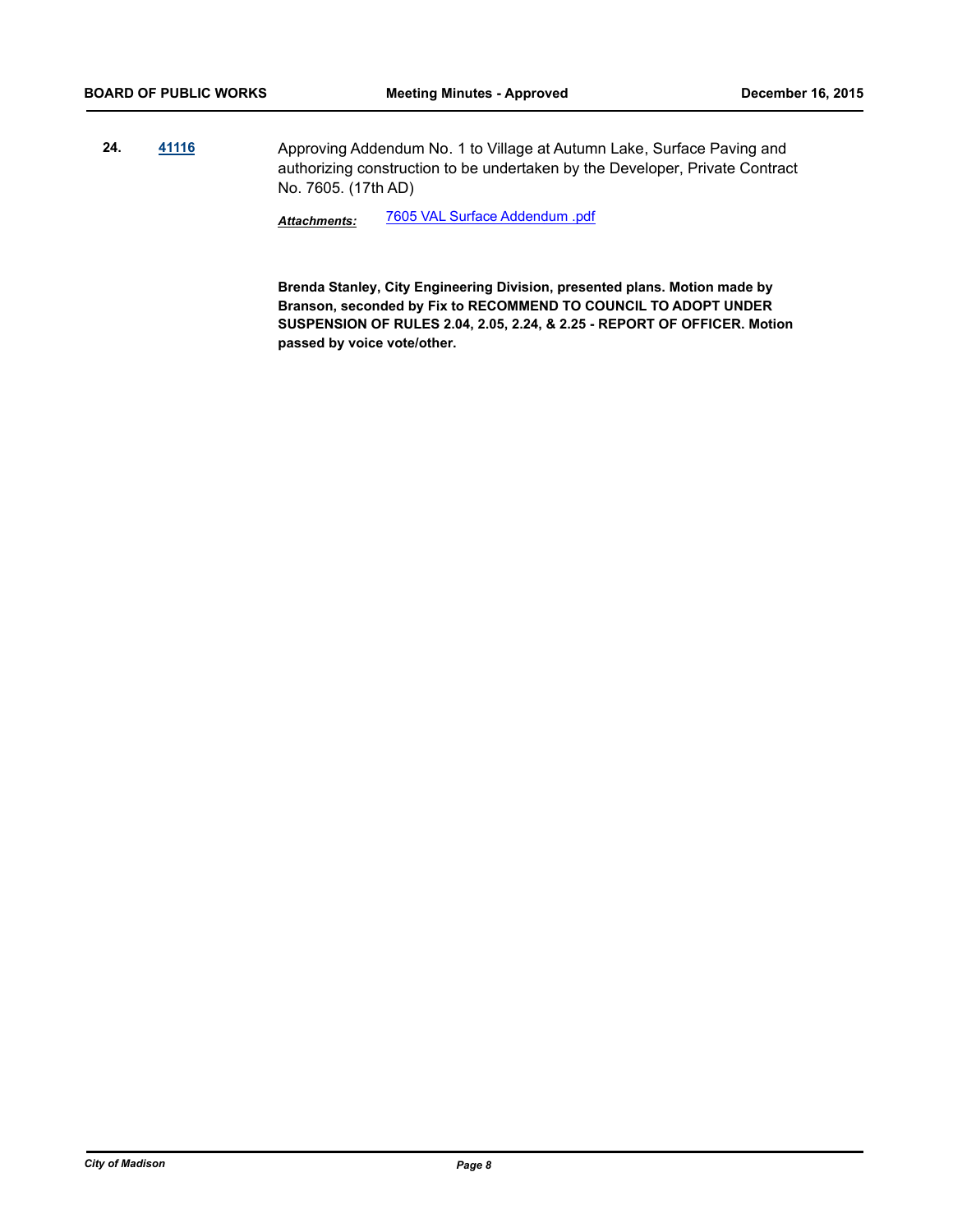**24. [41116](http://madison.legistar.com/gateway.aspx?m=l&id=/matter.aspx?key=44554)** Approving Addendum No. 1 to Village at Autumn Lake, Surface Paving and authorizing construction to be undertaken by the Developer, Private Contract No. 7605. (17th AD)

*Attachments:* [7605 VAL Surface Addendum .pdf](http://madison.legistar.com/gateway.aspx?M=F&ID=86363bb2-73dc-44f3-a26f-146bb420f04b.pdf)

**Brenda Stanley, City Engineering Division, presented plans. Motion made by Branson, seconded by Fix to RECOMMEND TO COUNCIL TO ADOPT UNDER SUSPENSION OF RULES 2.04, 2.05, 2.24, & 2.25 - REPORT OF OFFICER. Motion passed by voice vote/other.**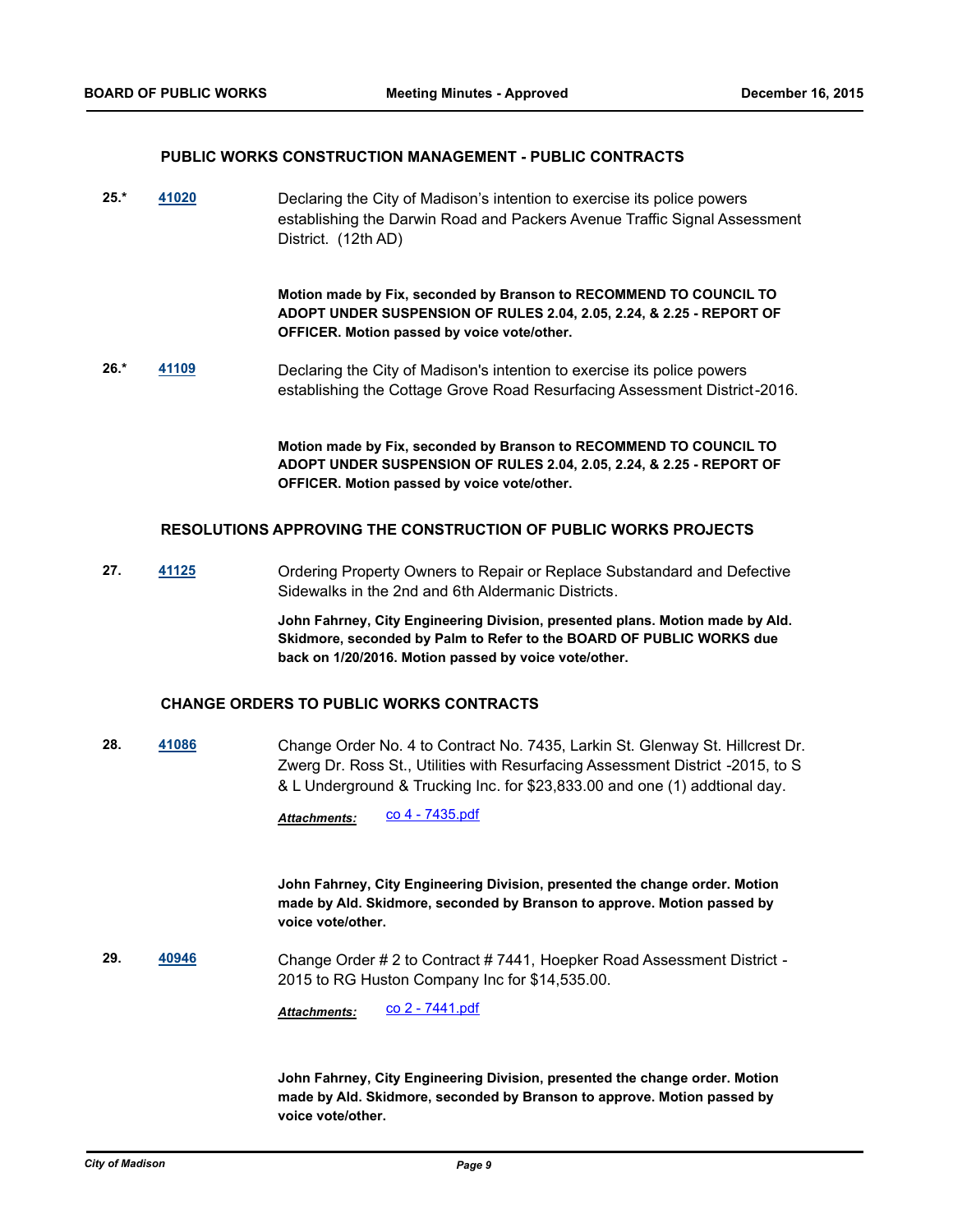#### **PUBLIC WORKS CONSTRUCTION MANAGEMENT - PUBLIC CONTRACTS**

**25.\* [41020](http://madison.legistar.com/gateway.aspx?m=l&id=/matter.aspx?key=44474)** Declaring the City of Madison's intention to exercise its police powers establishing the Darwin Road and Packers Avenue Traffic Signal Assessment District. (12th AD)

> **Motion made by Fix, seconded by Branson to RECOMMEND TO COUNCIL TO ADOPT UNDER SUSPENSION OF RULES 2.04, 2.05, 2.24, & 2.25 - REPORT OF OFFICER. Motion passed by voice vote/other.**

**26.\* [41109](http://madison.legistar.com/gateway.aspx?m=l&id=/matter.aspx?key=44547)** Declaring the City of Madison's intention to exercise its police powers establishing the Cottage Grove Road Resurfacing Assessment District-2016.

> **Motion made by Fix, seconded by Branson to RECOMMEND TO COUNCIL TO ADOPT UNDER SUSPENSION OF RULES 2.04, 2.05, 2.24, & 2.25 - REPORT OF OFFICER. Motion passed by voice vote/other.**

## **RESOLUTIONS APPROVING THE CONSTRUCTION OF PUBLIC WORKS PROJECTS**

**27. [41125](http://madison.legistar.com/gateway.aspx?m=l&id=/matter.aspx?key=44563)** Ordering Property Owners to Repair or Replace Substandard and Defective Sidewalks in the 2nd and 6th Aldermanic Districts.

> **John Fahrney, City Engineering Division, presented plans. Motion made by Ald. Skidmore, seconded by Palm to Refer to the BOARD OF PUBLIC WORKS due back on 1/20/2016. Motion passed by voice vote/other.**

### **CHANGE ORDERS TO PUBLIC WORKS CONTRACTS**

**28. [41086](http://madison.legistar.com/gateway.aspx?m=l&id=/matter.aspx?key=44524)** Change Order No. 4 to Contract No. 7435, Larkin St. Glenway St. Hillcrest Dr. Zwerg Dr. Ross St., Utilities with Resurfacing Assessment District -2015, to S & L Underground & Trucking Inc. for \$23,833.00 and one (1) addtional day.

Attachments: CO 4 - 7435.pdf

**John Fahrney, City Engineering Division, presented the change order. Motion made by Ald. Skidmore, seconded by Branson to approve. Motion passed by voice vote/other.**

**29. [40946](http://madison.legistar.com/gateway.aspx?m=l&id=/matter.aspx?key=44403)** Change Order # 2 to Contract # 7441, Hoepker Road Assessment District - 2015 to RG Huston Company Inc for \$14,535.00.

Attachments: CO 2 - 7441.pdf

**John Fahrney, City Engineering Division, presented the change order. Motion made by Ald. Skidmore, seconded by Branson to approve. Motion passed by voice vote/other.**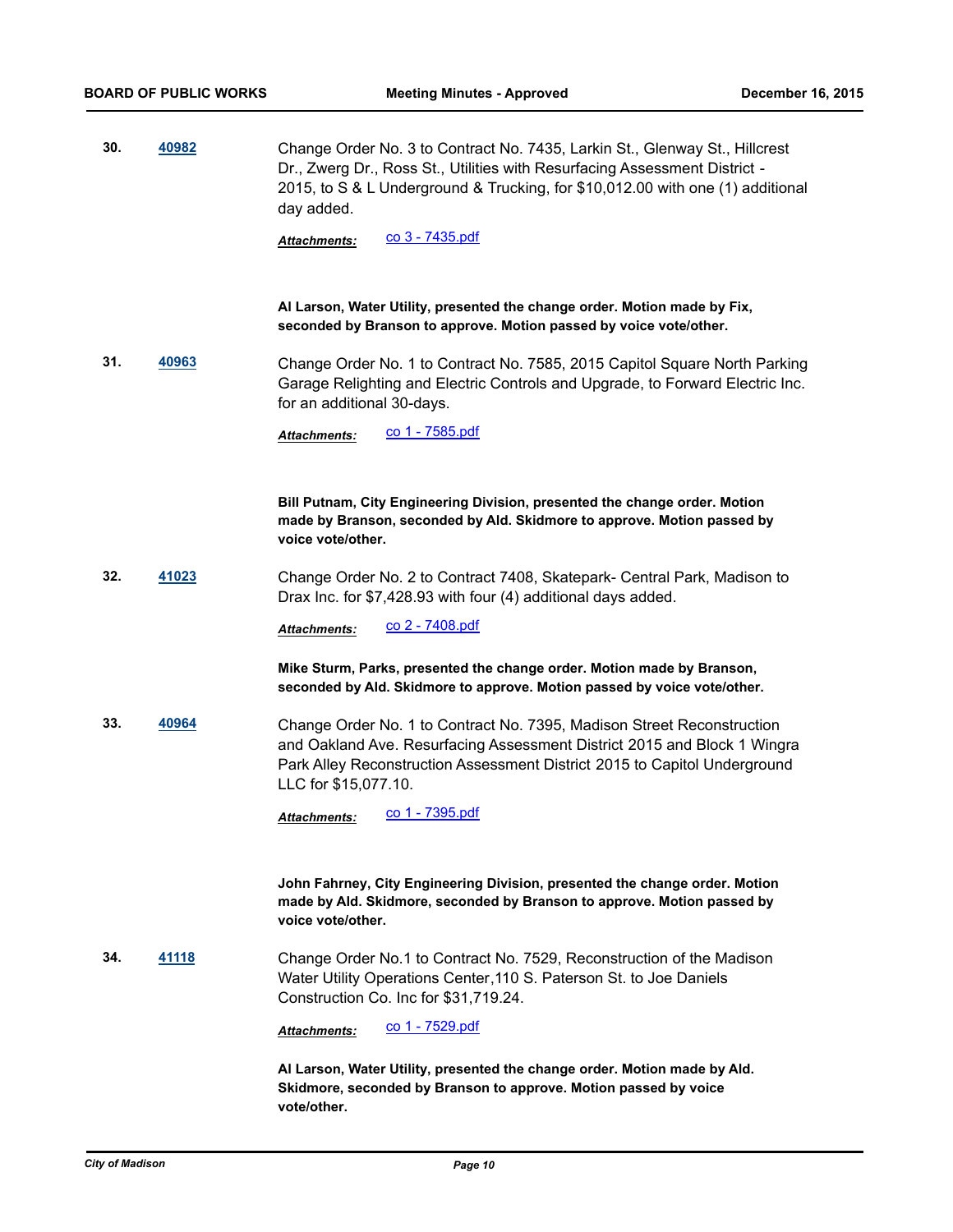**30. [40982](http://madison.legistar.com/gateway.aspx?m=l&id=/matter.aspx?key=44436)** Change Order No. 3 to Contract No. 7435, Larkin St., Glenway St., Hillcrest Dr., Zwerg Dr., Ross St., Utilities with Resurfacing Assessment District - 2015, to S & L Underground & Trucking, for \$10,012.00 with one (1) additional day added.

*Attachments:* [co 3 - 7435.pdf](http://madison.legistar.com/gateway.aspx?M=F&ID=bb91ab5d-b93c-4049-8897-9220ecf4e799.pdf)

**Al Larson, Water Utility, presented the change order. Motion made by Fix, seconded by Branson to approve. Motion passed by voice vote/other.**

**31. [40963](http://madison.legistar.com/gateway.aspx?m=l&id=/matter.aspx?key=44417)** Change Order No. 1 to Contract No. 7585, 2015 Capitol Square North Parking Garage Relighting and Electric Controls and Upgrade, to Forward Electric Inc. for an additional 30-days.

*Attachments:* [co 1 - 7585.pdf](http://madison.legistar.com/gateway.aspx?M=F&ID=2098ccdc-da7f-48a5-ab97-ae1e512278bb.pdf)

**Bill Putnam, City Engineering Division, presented the change order. Motion made by Branson, seconded by Ald. Skidmore to approve. Motion passed by voice vote/other.**

**32. [41023](http://madison.legistar.com/gateway.aspx?m=l&id=/matter.aspx?key=44477)** Change Order No. 2 to Contract 7408, Skatepark- Central Park, Madison to Drax Inc. for \$7,428.93 with four (4) additional days added.

Attachments: CO 2 - 7408.pdf

**Mike Sturm, Parks, presented the change order. Motion made by Branson, seconded by Ald. Skidmore to approve. Motion passed by voice vote/other.**

**33. [40964](http://madison.legistar.com/gateway.aspx?m=l&id=/matter.aspx?key=44418)** Change Order No. 1 to Contract No. 7395, Madison Street Reconstruction and Oakland Ave. Resurfacing Assessment District 2015 and Block 1 Wingra Park Alley Reconstruction Assessment District 2015 to Capitol Underground LLC for \$15,077.10.

*Attachments:* [co 1 - 7395.pdf](http://madison.legistar.com/gateway.aspx?M=F&ID=d473c386-68af-4010-9a9f-71b3b8c7a4f6.pdf)

**John Fahrney, City Engineering Division, presented the change order. Motion made by Ald. Skidmore, seconded by Branson to approve. Motion passed by voice vote/other.**

**34. [41118](http://madison.legistar.com/gateway.aspx?m=l&id=/matter.aspx?key=44556)** Change Order No.1 to Contract No. 7529, Reconstruction of the Madison Water Utility Operations Center,110 S. Paterson St. to Joe Daniels Construction Co. Inc for \$31,719.24.

Attachments: CO 1 - 7529.pdf

**Al Larson, Water Utility, presented the change order. Motion made by Ald. Skidmore, seconded by Branson to approve. Motion passed by voice vote/other.**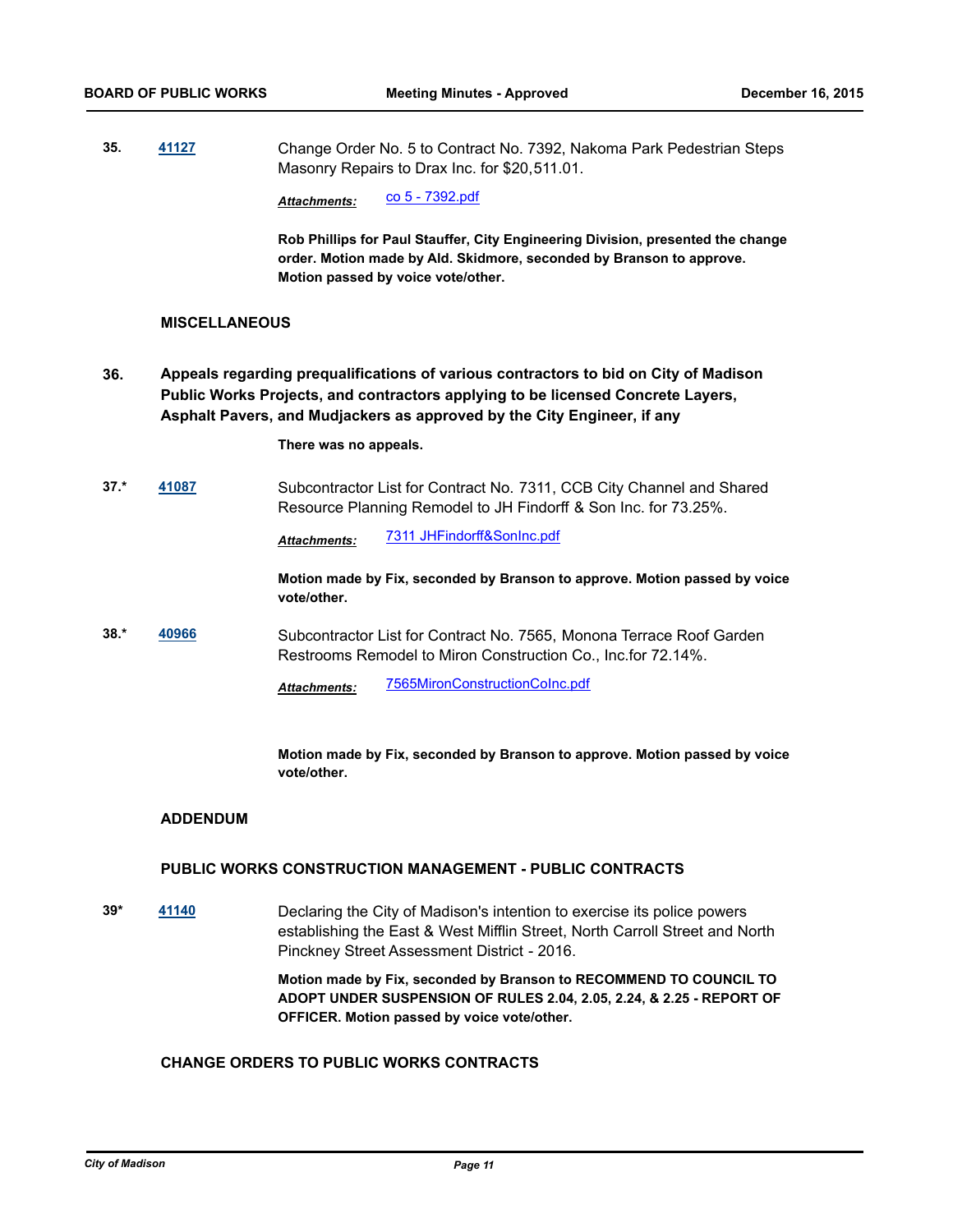**35. [41127](http://madison.legistar.com/gateway.aspx?m=l&id=/matter.aspx?key=44565)** Change Order No. 5 to Contract No. 7392, Nakoma Park Pedestrian Steps Masonry Repairs to Drax Inc. for \$20,511.01.

*Attachments:* [co 5 - 7392.pdf](http://madison.legistar.com/gateway.aspx?M=F&ID=c512541f-8632-4f96-8036-19494d91ec04.pdf)

**Rob Phillips for Paul Stauffer, City Engineering Division, presented the change order. Motion made by Ald. Skidmore, seconded by Branson to approve. Motion passed by voice vote/other.**

## **MISCELLANEOUS**

**Appeals regarding prequalifications of various contractors to bid on City of Madison Public Works Projects, and contractors applying to be licensed Concrete Layers, Asphalt Pavers, and Mudjackers as approved by the City Engineer, if any 36.**

**There was no appeals.**

**37.\* [41087](http://madison.legistar.com/gateway.aspx?m=l&id=/matter.aspx?key=44525)** Subcontractor List for Contract No. 7311, CCB City Channel and Shared Resource Planning Remodel to JH Findorff & Son Inc. for 73.25%.

*Attachments:* [7311 JHFindorff&SonInc.pdf](http://madison.legistar.com/gateway.aspx?M=F&ID=5cc2239f-7e90-41c7-8801-4cfeb8026434.pdf)

**Motion made by Fix, seconded by Branson to approve. Motion passed by voice vote/other.**

**38.\* [40966](http://madison.legistar.com/gateway.aspx?m=l&id=/matter.aspx?key=44420)** Subcontractor List for Contract No. 7565, Monona Terrace Roof Garden Restrooms Remodel to Miron Construction Co., Inc.for 72.14%.

*Attachments:* [7565MironConstructionCoInc.pdf](http://madison.legistar.com/gateway.aspx?M=F&ID=8e4ce6a4-39cb-4e89-9c7e-a3bef4882b59.pdf)

**Motion made by Fix, seconded by Branson to approve. Motion passed by voice vote/other.**

#### **ADDENDUM**

## **PUBLIC WORKS CONSTRUCTION MANAGEMENT - PUBLIC CONTRACTS**

**39\* [41140](http://madison.legistar.com/gateway.aspx?m=l&id=/matter.aspx?key=45577)** Declaring the City of Madison's intention to exercise its police powers establishing the East & West Mifflin Street, North Carroll Street and North Pinckney Street Assessment District - 2016.

> **Motion made by Fix, seconded by Branson to RECOMMEND TO COUNCIL TO ADOPT UNDER SUSPENSION OF RULES 2.04, 2.05, 2.24, & 2.25 - REPORT OF OFFICER. Motion passed by voice vote/other.**

## **CHANGE ORDERS TO PUBLIC WORKS CONTRACTS**